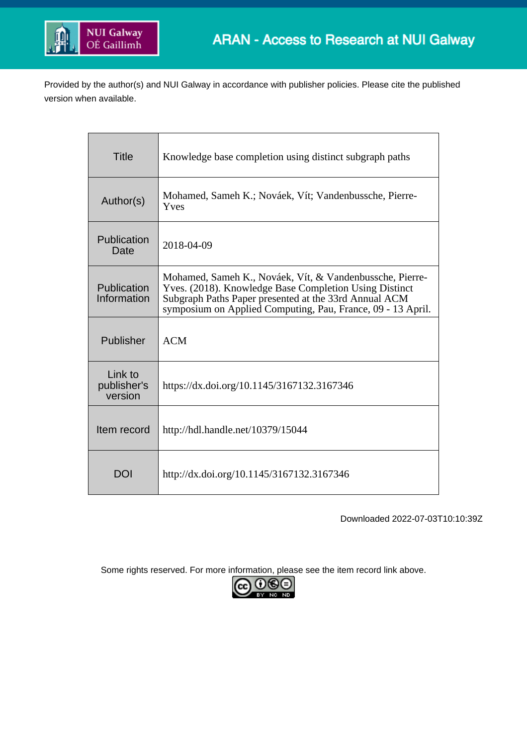

Provided by the author(s) and NUI Galway in accordance with publisher policies. Please cite the published version when available.

| <b>Title</b>                      | Knowledge base completion using distinct subgraph paths                                                                                                                                                                                    |
|-----------------------------------|--------------------------------------------------------------------------------------------------------------------------------------------------------------------------------------------------------------------------------------------|
| Author(s)                         | Mohamed, Sameh K.; Nováek, Vít; Vandenbussche, Pierre-<br>Yves                                                                                                                                                                             |
| Publication<br>Date               | 2018-04-09                                                                                                                                                                                                                                 |
| Publication<br>Information        | Mohamed, Sameh K., Nováek, Vít, & Vandenbussche, Pierre-<br>Yves. (2018). Knowledge Base Completion Using Distinct<br>Subgraph Paths Paper presented at the 33rd Annual ACM<br>symposium on Applied Computing, Pau, France, 09 - 13 April. |
| Publisher                         | <b>ACM</b>                                                                                                                                                                                                                                 |
| Link to<br>publisher's<br>version | https://dx.doi.org/10.1145/3167132.3167346                                                                                                                                                                                                 |
| Item record                       | http://hdl.handle.net/10379/15044                                                                                                                                                                                                          |
| <b>DOI</b>                        | http://dx.doi.org/10.1145/3167132.3167346                                                                                                                                                                                                  |

Downloaded 2022-07-03T10:10:39Z

Some rights reserved. For more information, please see the item record link above.

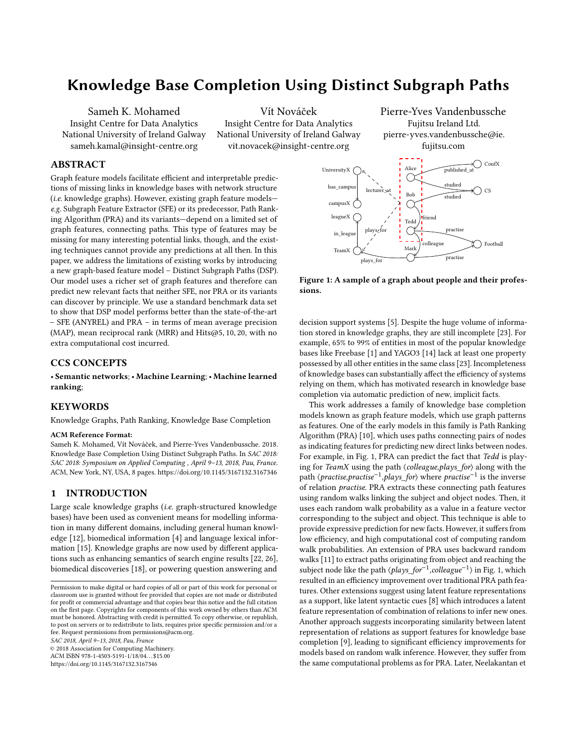# Knowledge Base Completion Using Distinct Subgraph Paths

Sameh K. Mohamed Insight Centre for Data Analytics National University of Ireland Galway sameh.kamal@insight-centre.org

Vít Nováček Insight Centre for Data Analytics National University of Ireland Galway vit.novacek@insight-centre.org

# ABSTRACT

Graph feature models facilitate efficient and interpretable predictions of missing links in knowledge bases with network structure (i.e. knowledge graphs). However, existing graph feature models e.g. Subgraph Feature Extractor (SFE) or its predecessor, Path Ranking Algorithm (PRA) and its variants—depend on a limited set of graph features, connecting paths. This type of features may be missing for many interesting potential links, though, and the existing techniques cannot provide any predictions at all then. In this paper, we address the limitations of existing works by introducing a new graph-based feature model – Distinct Subgraph Paths (DSP). Our model uses a richer set of graph features and therefore can predict new relevant facts that neither SFE, nor PRA or its variants can discover by principle. We use a standard benchmark data set to show that DSP model performs better than the state-of-the-art – SFE (ANYREL) and PRA – in terms of mean average precision (MAP), mean reciprocal rank (MRR) and Hits $($ 05, 10, 20), with no extra computational cost incurred.

# CCS CONCEPTS

• Semantic networks; • Machine Learning; • Machine learned ranking;

# KEYWORDS

Knowledge Graphs, Path Ranking, Knowledge Base Completion

#### ACM Reference Format:

Sameh K. Mohamed, Vít Nováček, and Pierre-Yves Vandenbussche. 2018. Knowledge Base Completion Using Distinct Subgraph Paths. In SAC 2018: SAC 2018: Symposium on Applied Computing , April 9–13, 2018, Pau, France. ACM, New York, NY, USA, [8](#page-8-0) pages.<https://doi.org/10.1145/3167132.3167346>

# 1 INTRODUCTION

Large scale knowledge graphs (i.e. graph-structured knowledge bases) have been used as convenient means for modelling information in many different domains, including general human knowledge [\[12\]](#page-8-1), biomedical information [\[4\]](#page-8-2) and language lexical information [\[15\]](#page-8-3). Knowledge graphs are now used by different applications such as enhancing semantics of search engine results [\[22,](#page-8-4) [26\]](#page-8-5), biomedical discoveries [\[18\]](#page-8-6), or powering question answering and

SAC 2018, April 9–13, 2018, Pau, France

© 2018 Association for Computing Machinery.

ACM ISBN 978-1-4503-5191-1/18/04. . . \$15.00

<https://doi.org/10.1145/3167132.3167346>

Pierre-Yves Vandenbussche Fujitsu Ireland Ltd. pierre-yves.vandenbussche@ie. fujitsu.com

<span id="page-1-0"></span>

Figure 1: A sample of a graph about people and their professions.

decision support systems [\[5\]](#page-8-7). Despite the huge volume of information stored in knowledge graphs, they are still incomplete [\[23\]](#page-8-8). For example, 65% to 99% of entities in most of the popular knowledge bases like Freebase [\[1\]](#page-7-0) and YAGO3 [\[14\]](#page-8-9) lack at least one property possessed by all other entities in the same class [\[23\]](#page-8-8). Incompleteness of knowledge bases can substantially affect the efficiency of systems relying on them, which has motivated research in knowledge base completion via automatic prediction of new, implicit facts.

This work addresses a family of knowledge base completion models known as graph feature models, which use graph patterns as features. One of the early models in this family is Path Ranking Algorithm (PRA) [\[10\]](#page-8-10), which uses paths connecting pairs of nodes as indicating features for predicting new direct links between nodes. For example, in Fig. [1,](#page-1-0) PRA can predict the fact that Tedd is playing for TeamX using the path ⟨colleague,plays\_for⟩ along with the path *⟨practise,practise<sup>−1</sup>,plays\_for*⟩ where *practise<sup>-1</sup>* is the inverse of relation practise. PRA extracts these connecting path features using random walks linking the subject and object nodes. Then, it uses each random walk probability as a value in a feature vector corresponding to the subject and object. This technique is able to provide expressive prediction for new facts. However, it suffers from low efficiency, and high computational cost of computing random walk probabilities. An extension of PRA uses backward random walks [\[11\]](#page-8-11) to extract paths originating from object and reaching the subject node like the path  $\langle \textit{plays\_for}^{-1}, \textit{colleague}^{-1} \rangle$  in Fig. [1,](#page-1-0) which resulted in an efficiency improvement over traditional PRA path features. Other extensions suggest using latent feature representations as a support, like latent syntactic cues [\[8\]](#page-8-12) which introduces a latent feature representation of combination of relations to infer new ones. Another approach suggests incorporating similarity between latent representation of relations as support features for knowledge base completion [\[9\]](#page-8-13), leading to significant efficiency improvements for models based on random walk inference. However, they suffer from the same computational problems as for PRA. Later, Neelakantan et

Permission to make digital or hard copies of all or part of this work for personal or classroom use is granted without fee provided that copies are not made or distributed for profit or commercial advantage and that copies bear this notice and the full citation on the first page. Copyrights for components of this work owned by others than ACM must be honored. Abstracting with credit is permitted. To copy otherwise, or republish, to post on servers or to redistribute to lists, requires prior specific permission and/or a fee. Request permissions from permissions@acm.org.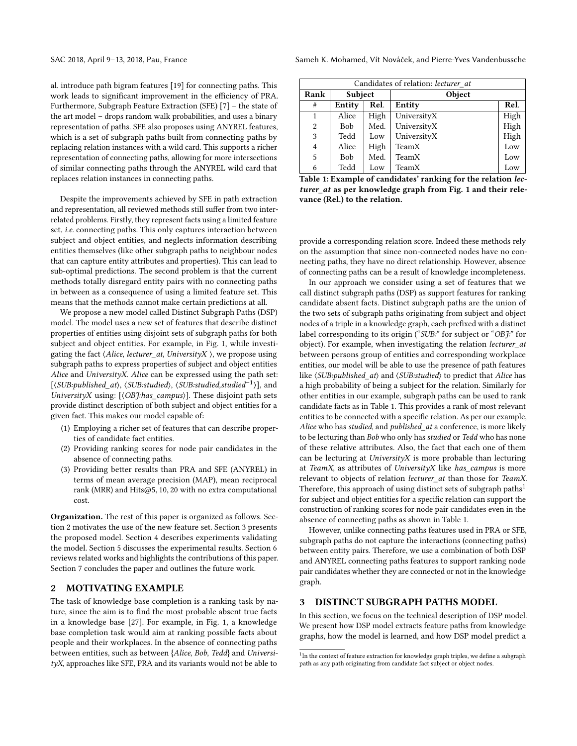al. introduce path bigram features [\[19\]](#page-8-14) for connecting paths. This work leads to significant improvement in the efficiency of PRA. Furthermore, Subgraph Feature Extraction (SFE) [\[7\]](#page-8-15) – the state of the art model – drops random walk probabilities, and uses a binary representation of paths. SFE also proposes using ANYREL features, which is a set of subgraph paths built from connecting paths by replacing relation instances with a wild card. This supports a richer representation of connecting paths, allowing for more intersections of similar connecting paths through the ANYREL wild card that replaces relation instances in connecting paths.

Despite the improvements achieved by SFE in path extraction and representation, all reviewed methods still suffer from two interrelated problems. Firstly, they represent facts using a limited feature set, i.e. connecting paths. This only captures interaction between subject and object entities, and neglects information describing entities themselves (like other subgraph paths to neighbour nodes that can capture entity attributes and properties). This can lead to sub-optimal predictions. The second problem is that the current methods totally disregard entity pairs with no connecting paths in between as a consequence of using a limited feature set. This means that the methods cannot make certain predictions at all.

We propose a new model called Distinct Subgraph Paths (DSP) model. The model uses a new set of features that describe distinct properties of entities using disjoint sets of subgraph paths for both subject and object entities. For example, in Fig. [1,](#page-1-0) while investigating the fact  $\langle Alice, lecture_{at}, UniversityX \rangle$ , we propose using subgraph paths to express properties of subject and object entities Alice and UniversityX. Alice can be expressed using the path set: [⟨SUB:published\_at⟩, ⟨SUB:studied⟩, ⟨SUB:studied,studied−<sup>1</sup> ⟩], and UniversityX using:  $[$   $\langle OB \rangle$ *f:has campus* $\rangle$ ]. These disjoint path sets provide distinct description of both subject and object entities for a given fact. This makes our model capable of:

- (1) Employing a richer set of features that can describe properties of candidate fact entities.
- (2) Providing ranking scores for node pair candidates in the absence of connecting paths.
- (3) Providing better results than PRA and SFE (ANYREL) in terms of mean average precision (MAP), mean reciprocal rank (MRR) and Hits@5, <sup>10</sup>, <sup>20</sup> with no extra computational cost.

Organization. The rest of this paper is organized as follows. Section [2](#page-2-0) motivates the use of the new feature set. Section [3](#page-2-1) presents the proposed model. Section [4](#page-4-0) describes experiments validating the model. Section [5](#page-6-0) discusses the experimental results. Section [6](#page-6-1) reviews related works and highlights the contributions of this paper. Section [7](#page-7-1) concludes the paper and outlines the future work.

# <span id="page-2-0"></span>2 MOTIVATING EXAMPLE

The task of knowledge base completion is a ranking task by nature, since the aim is to find the most probable absent true facts in a knowledge base [\[27\]](#page-8-16). For example, in Fig. [1,](#page-1-0) a knowledge base completion task would aim at ranking possible facts about people and their workplaces. In the absence of connecting paths between entities, such as between {Alice, Bob, Tedd} and UniversityX, approaches like SFE, PRA and its variants would not be able to

SAC 2018, April 9-13, 2018, Pau, France Sameh K. Mohamed, Vít Nováček, and Pierre-Yves Vandenbussche

<span id="page-2-2"></span>

| Candidates of relation: lecturer at |        |      |             |      |  |  |  |  |
|-------------------------------------|--------|------|-------------|------|--|--|--|--|
| Rank<br>Subject                     |        |      | Object      |      |  |  |  |  |
| #                                   | Entity | Rel. | Entity      | Rel. |  |  |  |  |
| 1                                   | Alice  | High | UniversityX | High |  |  |  |  |
| 2                                   | Bob    | Med. | UniversityX | High |  |  |  |  |
| 3                                   | Tedd   | Low  | UniversityX | High |  |  |  |  |
| $\overline{4}$                      | Alice  | High | TeamX       | Low  |  |  |  |  |
| 5                                   | Bob    | Med. | TeamX       | Low  |  |  |  |  |
| 6                                   | Tedd   | Low  | TeamX       | Low  |  |  |  |  |

Table 1: Example of candidates' ranking for the relation lecturer\_at as per knowledge graph from Fig. [1](#page-1-0) and their relevance (Rel.) to the relation.

provide a corresponding relation score. Indeed these methods rely on the assumption that since non-connected nodes have no connecting paths, they have no direct relationship. However, absence of connecting paths can be a result of knowledge incompleteness.

In our approach we consider using a set of features that we call distinct subgraph paths (DSP) as support features for ranking candidate absent facts. Distinct subgraph paths are the union of the two sets of subgraph paths originating from subject and object nodes of a triple in a knowledge graph, each prefixed with a distinct label corresponding to its origin ("SUB:" for subject or "OBJ:" for object). For example, when investigating the relation lecturer\_at between persons group of entities and corresponding workplace entities, our model will be able to use the presence of path features like  $\langle SUB:published \atop \rangle$  and  $\langle SUB:studied \rangle$  to predict that Alice has a high probability of being a subject for the relation. Similarly for other entities in our example, subgraph paths can be used to rank candidate facts as in Table [1.](#page-2-2) This provides a rank of most relevant entities to be connected with a specific relation. As per our example, Alice who has studied, and published\_at a conference, is more likely to be lecturing than Bob who only has studied or Tedd who has none of these relative attributes. Also, the fact that each one of them can be lecturing at  $UniversityX$  is more probable than lecturing at TeamX, as attributes of UniversityX like has\_campus is more relevant to objects of relation lecturer\_at than those for TeamX. Therefore, this approach of using distinct sets of subgraph paths<sup>[1](#page-2-3)</sup> for subject and object entities for a specific relation can support the construction of ranking scores for node pair candidates even in the absence of connecting paths as shown in Table [1.](#page-2-2)

However, unlike connecting paths features used in PRA or SFE, subgraph paths do not capture the interactions (connecting paths) between entity pairs. Therefore, we use a combination of both DSP and ANYREL connecting paths features to support ranking node pair candidates whether they are connected or not in the knowledge graph.

# <span id="page-2-1"></span>3 DISTINCT SUBGRAPH PATHS MODEL

In this section, we focus on the technical description of DSP model. We present how DSP model extracts feature paths from knowledge graphs, how the model is learned, and how DSP model predict a

<span id="page-2-3"></span> $1$ In the context of feature extraction for knowledge graph triples, we define a subgraph path as any path originating from candidate fact subject or object nodes.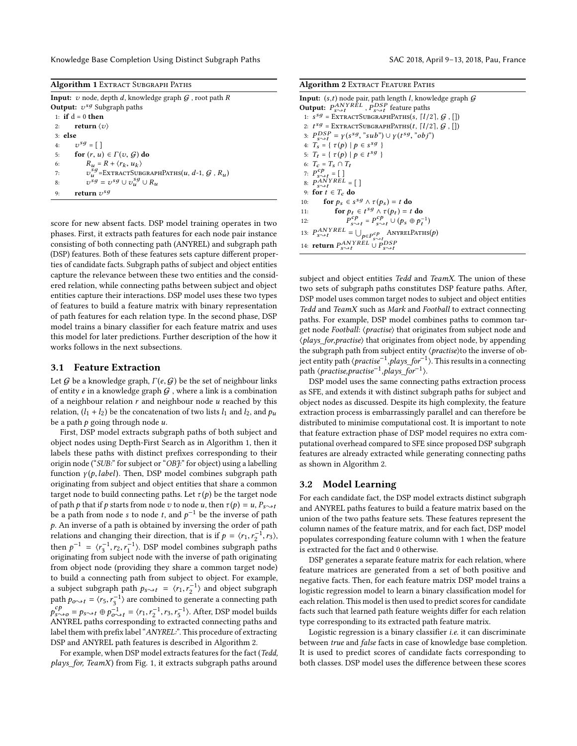Knowledge Base Completion Using Distinct Subgraph Paths SAC 2018, April 9-13, 2018, Pau, France

<span id="page-3-0"></span>

| <b>Algorithm 1</b> Extract Subgraph Paths                                 |  |  |  |  |
|---------------------------------------------------------------------------|--|--|--|--|
| <b>Input:</b> v node, depth d, knowledge graph $G$ , root path R          |  |  |  |  |
| <b>Output:</b> $v^{sg}$ Subgraph paths                                    |  |  |  |  |
| 1: if $d = 0$ then                                                        |  |  |  |  |
| 2: return $\langle v \rangle$                                             |  |  |  |  |
| $3:$ else                                                                 |  |  |  |  |
| 4: $v^{sg} = [$                                                           |  |  |  |  |
| for $(r, u) \in \Gamma(v, G)$ do<br>5:                                    |  |  |  |  |
| $R_u = R + \langle r_k, u_k \rangle$<br>6:                                |  |  |  |  |
| $v_u^{sg}$ =EXTRACTSUBGRAPHPATHS $(u, d$ -1, $\mathcal G$ , $R_u$ )<br>7: |  |  |  |  |
| $v^{sg} = v^{sg} \cup v^{sg}_u \cup R_u$<br>8:                            |  |  |  |  |
| return $v^{sg}$<br>9:                                                     |  |  |  |  |

score for new absent facts. DSP model training operates in two phases. First, it extracts path features for each node pair instance consisting of both connecting path (ANYREL) and subgraph path (DSP) features. Both of these features sets capture different properties of candidate facts. Subgraph paths of subject and object entities capture the relevance between these two entities and the considered relation, while connecting paths between subject and object entities capture their interactions. DSP model uses these two types of features to build a feature matrix with binary representation of path features for each relation type. In the second phase, DSP model trains a binary classifier for each feature matrix and uses this model for later predictions. Further description of the how it works follows in the next subsections.

# 3.1 Feature Extraction

Let G be a knowledge graph,  $\Gamma(e, G)$  be the set of neighbour links of entity  $e$  in a knowledge graph  $G$  , where a link is a combination of a neighbour relation  $r$  and neighbour node  $u$  reached by this relation,  $(l_1 + l_2)$  be the concatenation of two lists  $l_1$  and  $l_2$ , and  $p_u$ be a path  $p$  going through node  $u$ .

First, DSP model extracts subgraph paths of both subject and object nodes using Depth-First Search as in Algorithm [1,](#page-3-0) then it labels these paths with distinct prefixes corresponding to their origin node ("SUB:" for subject or "OBJ:" for object) using a labelling function  $\gamma(p, label)$ . Then, DSP model combines subgraph path originating from subject and object entities that share a common target node to build connecting paths. Let  $\tau(p)$  be the target node of path p that if p starts from node v to node u, then  $\tau(p) = u, P_{s \to t}$ be a path from node s to node t, and  $p^{-1}$  be the inverse of path  $p$ . An inverse of a path is obtained by inversing the order of path relations and changing their direction, that is if  $p = \langle r_1, r_2^{-1}, r_3 \rangle$ ,<br>then  $r^{-1} = \langle r^{-1}, r^{-1} \rangle$ . DSB model combines subgraph nother then  $p^{-1} = \langle r_3^{-1}, r_2, r_1^{-1} \rangle$ . DSP model combines subgraph paths<br>originating from subject node with the inverse of path originating originating from subject node with the inverse of path originating from object node (providing they share a common target node) to build a connecting path from subject to object. For example, a subject subgraph path  $p_{s \rightarrow t} = \langle r_1, r_2^{-1} \rangle$  and object subgraph path  $p_{o \rightarrow t} = \langle r_5, r_3^{-1} \rangle$  are combined to generate a connecting path  $p_{s\rightarrow o}^{cp} = p_{s\rightarrow t} \oplus p_{o\rightarrow t}^{-1} = \langle r_1, r_2^{-1}, r_3, r_5^{-1} \rangle$ . After, DSP model builds<br>ANVREL paths corresponding to extracted connecting paths and ANYREL paths corresponding to extracted connecting paths and label them with prefix label "ANYREL:". This procedure of extracting DSP and ANYREL path features is described in Algorithm [2.](#page-3-1)

For example, when DSP model extracts features for the fact (Tedd, plays\_for, TeamX) from Fig. [1,](#page-1-0) it extracts subgraph paths around

<span id="page-3-1"></span>

| Algorithm 2 EXTRACT FEATURE PATHS |  |
|-----------------------------------|--|
|-----------------------------------|--|

| 1: $s^{sg}$ = EXTRACTSUBGRAPHPATHS(s, [l/2], $G$ , [])<br>2: $t^{sg}$ = EXTRACTSUBGRAPHPATHS $(t, \lceil l/2 \rceil, \mathcal{G}, \lceil \rceil)$<br>3: $P_{s_0,t}^{DSP} = \gamma(s^{sg}, "sub") \cup \gamma(t^{sg}, "obj")$<br>4: $T_s = \{ \tau(p) \mid p \in s^{sg} \}$<br>5: $T_t = \{ \tau(p) \mid p \in t^{sg} \}$<br>6: $T_c = T_s \cap T_t$<br>7: $P_{s \to t}^{cp}$ = []<br>8: $P_{s \rightarrow t}^{ANYREL}$ = []<br>9: for $t \in T_c$ do<br>for $p_s \in s^{sg} \wedge \tau(p_s) = t$ do<br>10:<br>for $p_t \in t^{sg} \wedge \tau(p_t) = t$ do<br>11:<br>$P_{\text{max}}^{cp} = P_{\text{max}}^{cp} \cup (p_s \oplus p_t^{-1})$<br>12:<br>13: $P_{s\leadsto t}^{ANYREL}=\bigcup_{p\in P_{s\leadsto t}^{cp}}$ ANYRELPATHS(p)<br>14: <b>return</b> $P_{s\rightsquigarrow t}^{ANYREL} \cup P_{s\rightsquigarrow t}^{DSP}$ | <b>Input:</b> $(s,t)$ node pair, path length <i>l</i> , knowledge graph $\mathcal G$<br><b>Output:</b> $P_{s \rightarrow t}^{ANYREL}$ , $P_{s \rightarrow t}^{DSP}$ feature paths |
|-------------------------------------------------------------------------------------------------------------------------------------------------------------------------------------------------------------------------------------------------------------------------------------------------------------------------------------------------------------------------------------------------------------------------------------------------------------------------------------------------------------------------------------------------------------------------------------------------------------------------------------------------------------------------------------------------------------------------------------------------------------------------------------------------------------------------------------|-----------------------------------------------------------------------------------------------------------------------------------------------------------------------------------|
|                                                                                                                                                                                                                                                                                                                                                                                                                                                                                                                                                                                                                                                                                                                                                                                                                                     |                                                                                                                                                                                   |
|                                                                                                                                                                                                                                                                                                                                                                                                                                                                                                                                                                                                                                                                                                                                                                                                                                     |                                                                                                                                                                                   |
|                                                                                                                                                                                                                                                                                                                                                                                                                                                                                                                                                                                                                                                                                                                                                                                                                                     |                                                                                                                                                                                   |
|                                                                                                                                                                                                                                                                                                                                                                                                                                                                                                                                                                                                                                                                                                                                                                                                                                     |                                                                                                                                                                                   |
|                                                                                                                                                                                                                                                                                                                                                                                                                                                                                                                                                                                                                                                                                                                                                                                                                                     |                                                                                                                                                                                   |
|                                                                                                                                                                                                                                                                                                                                                                                                                                                                                                                                                                                                                                                                                                                                                                                                                                     |                                                                                                                                                                                   |
|                                                                                                                                                                                                                                                                                                                                                                                                                                                                                                                                                                                                                                                                                                                                                                                                                                     |                                                                                                                                                                                   |
|                                                                                                                                                                                                                                                                                                                                                                                                                                                                                                                                                                                                                                                                                                                                                                                                                                     |                                                                                                                                                                                   |
|                                                                                                                                                                                                                                                                                                                                                                                                                                                                                                                                                                                                                                                                                                                                                                                                                                     |                                                                                                                                                                                   |
|                                                                                                                                                                                                                                                                                                                                                                                                                                                                                                                                                                                                                                                                                                                                                                                                                                     |                                                                                                                                                                                   |
|                                                                                                                                                                                                                                                                                                                                                                                                                                                                                                                                                                                                                                                                                                                                                                                                                                     |                                                                                                                                                                                   |
|                                                                                                                                                                                                                                                                                                                                                                                                                                                                                                                                                                                                                                                                                                                                                                                                                                     |                                                                                                                                                                                   |
|                                                                                                                                                                                                                                                                                                                                                                                                                                                                                                                                                                                                                                                                                                                                                                                                                                     |                                                                                                                                                                                   |
|                                                                                                                                                                                                                                                                                                                                                                                                                                                                                                                                                                                                                                                                                                                                                                                                                                     |                                                                                                                                                                                   |

subject and object entities Tedd and TeamX. The union of these two sets of subgraph paths constitutes DSP feature paths. After, DSP model uses common target nodes to subject and object entities Tedd and TeamX such as Mark and Football to extract connecting paths. For example, DSP model combines paths to common target node Football: ⟨practise⟩ that originates from subject node and ⟨plays\_for,practise⟩ that originates from object node, by appending the subgraph path from subject entity  $\langle \text{practise} \rangle$ to the inverse of object entity path *⟨practise<sup>-1</sup>,plays\_for<sup>-1</sup>⟩*. This results in a connecting path  $\langle \text{practise}, \text{practise}^{-1}, \text{plays} \_ \text{for}^{-1} \rangle$ .

DSP model uses the same connecting paths extraction process as SFE, and extends it with distinct subgraph paths for subject and object nodes as discussed. Despite its high complexity, the feature extraction process is embarrassingly parallel and can therefore be distributed to minimise computational cost. It is important to note that feature extraction phase of DSP model requires no extra computational overhead compared to SFE since proposed DSP subgraph features are already extracted while generating connecting paths as shown in Algorithm [2.](#page-3-1)

# 3.2 Model Learning

For each candidate fact, the DSP model extracts distinct subgraph and ANYREL paths features to build a feature matrix based on the union of the two paths feature sets. These features represent the column names of the feature matrix, and for each fact, DSP model populates corresponding feature column with 1 when the feature is extracted for the fact and 0 otherwise.

DSP generates a separate feature matrix for each relation, where feature matrices are generated from a set of both positive and negative facts. Then, for each feature matrix DSP model trains a logistic regression model to learn a binary classification model for each relation. This model is then used to predict scores for candidate facts such that learned path feature weights differ for each relation type corresponding to its extracted path feature matrix.

Logistic regression is a binary classifier i.e. it can discriminate between true and false facts in case of knowledge base completion. It is used to predict scores of candidate facts corresponding to both classes. DSP model uses the difference between these scores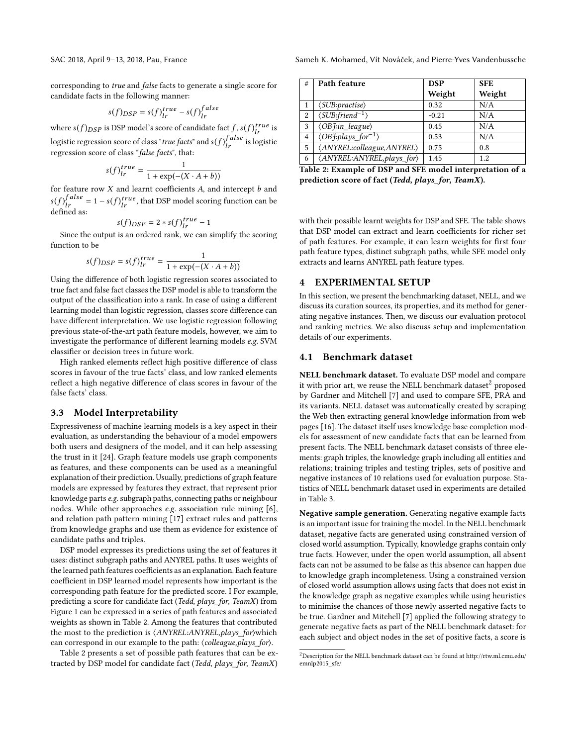corresponding to true and false facts to generate a single score for candidate facts in the following manner:

$$
s(f)_{DSP} = s(f)_{lr}^{true} - s(f)_{lr}^{false}
$$

where  $s(f)_{DSP}$  is DSP model's score of candidate fact  $f, s(f)_{Ir}^{true}$  is logistic regression score of class "*true facts*" and  $s(f)_{lr}^{false}$  is logistic<br>regression score of class "*false facts*", that: regression score of class "false facts", that:

$$
s(f)_{lr}^{true} = \frac{1}{1 + \exp(-(X \cdot A + b))}
$$

 $S(J)_{Ir} = \frac{1}{1 + \exp(-(X \cdot A + b))}$ <br>for feature row X and learnt coefficients A, and intercept b and  $s(f)_{Ir}^{false} = 1 - s(f)_{Ir}^{true}$ , that DSP model scoring function can be defined as:

$$
s(f)_{DSP} = 2 * s(f)_{lr}^{true} - 1
$$

 $s(f)_{DSP} = 2 * s(f)_{Ir}^{true} - 1$ <br>Since the output is an ordered rank, we can simplify the scoring function to be

$$
s(f)_{DSP} = s(f)_{Ir}^{true} = \frac{1}{1 + \exp(-(X \cdot A + b))}
$$
  
Using the difference of both logistic regression scores associated to

true fact and false fact classes the DSP model is able to transform the output of the classification into a rank. In case of using a different learning model than logistic regression, classes score difference can have different interpretation. We use logistic regression following previous state-of-the-art path feature models, however, we aim to investigate the performance of different learning models e.g. SVM classifier or decision trees in future work.

High ranked elements reflect high positive difference of class scores in favour of the true facts' class, and low ranked elements reflect a high negative difference of class scores in favour of the false facts' class.

### 3.3 Model Interpretability

Expressiveness of machine learning models is a key aspect in their evaluation, as understanding the behaviour of a model empowers both users and designers of the model, and it can help assessing the trust in it [\[24\]](#page-8-17). Graph feature models use graph components as features, and these components can be used as a meaningful explanation of their prediction. Usually, predictions of graph feature models are expressed by features they extract, that represent prior knowledge parts e.g. subgraph paths, connecting paths or neighbour nodes. While other approaches e.g. association rule mining [\[6\]](#page-8-18), and relation path pattern mining [\[17\]](#page-8-19) extract rules and patterns from knowledge graphs and use them as evidence for existence of candidate paths and triples.

DSP model expresses its predictions using the set of features it uses: distinct subgraph paths and ANYREL paths. It uses weights of the learned path features coefficients as an explanation. Each feature coefficient in DSP learned model represents how important is the corresponding path feature for the predicted score. I For example, predicting a score for candidate fact (Tedd, plays\_for, TeamX) from Figure [1](#page-1-0) can be expressed in a series of path features and associated weights as shown in Table [2.](#page-4-1) Among the features that contributed the most to the prediction is  $\langle ANYREL:ANYREL, plays\_for \rangle$  which can correspond in our example to the path: ⟨colleague,plays\_for⟩.

Table [2](#page-4-1) presents a set of possible path features that can be extracted by DSP model for candidate fact (Tedd, plays\_for, TeamX)

<span id="page-4-1"></span>

| # | Path feature                                               | <b>DSP</b> | <b>SFE</b> |
|---|------------------------------------------------------------|------------|------------|
|   |                                                            | Weight     | Weight     |
|   | $\langle SUB:practise \rangle$                             | 0.32       | N/A        |
| 2 | $\langle SUB:friend^{-1} \rangle$                          | $-0.21$    | N/A        |
| 3 | $\langle OBJ.in\_league\rangle$                            | 0.45       | N/A        |
| 4 | $\langle \overline{OB}$ :plays_for <sup>-1</sup> $\rangle$ | 0.53       | N/A        |
| 5 | (ANYREL:colleague, ANYREL)                                 | 0.75       | 0.8        |
| 6 | (ANYREL:ANYREL, plays_for)                                 | 1.45       | 1.2        |

Table 2: Example of DSP and SFE model interpretation of a prediction score of fact (Tedd, plays\_for, TeamX).

with their possible learnt weights for DSP and SFE. The table shows that DSP model can extract and learn coefficients for richer set of path features. For example, it can learn weights for first four path feature types, distinct subgraph paths, while SFE model only extracts and learns ANYREL path feature types.

# <span id="page-4-0"></span>4 EXPERIMENTAL SETUP

In this section, we present the benchmarking dataset, NELL, and we discuss its curation sources, its properties, and its method for generating negative instances. Then, we discuss our evaluation protocol and ranking metrics. We also discuss setup and implementation details of our experiments.

### 4.1 Benchmark dataset

NELL benchmark dataset. To evaluate DSP model and compare it with prior art, we reuse the NELL benchmark dataset<sup>[2](#page-4-2)</sup> proposed by Gardner and Mitchell [\[7\]](#page-8-15) and used to compare SFE, PRA and its variants. NELL dataset was automatically created by scraping the Web then extracting general knowledge information from web pages [\[16\]](#page-8-20). The dataset itself uses knowledge base completion models for assessment of new candidate facts that can be learned from present facts. The NELL benchmark dataset consists of three elements: graph triples, the knowledge graph including all entities and relations; training triples and testing triples, sets of positive and negative instances of 10 relations used for evaluation purpose. Statistics of NELL benchmark dataset used in experiments are detailed in Table [3.](#page-5-0)

Negative sample generation. Generating negative example facts is an important issue for training the model. In the NELL benchmark dataset, negative facts are generated using constrained version of closed world assumption. Typically, knowledge graphs contain only true facts. However, under the open world assumption, all absent facts can not be assumed to be false as this absence can happen due to knowledge graph incompleteness. Using a constrained version of closed world assumption allows using facts that does not exist in the knowledge graph as negative examples while using heuristics to minimise the chances of those newly asserted negative facts to be true. Gardner and Mitchell [\[7\]](#page-8-15) applied the following strategy to generate negative facts as part of the NELL benchmark dataset: for each subject and object nodes in the set of positive facts, a score is

<span id="page-4-2"></span> $^2$ Description for the NELL benchmark dataset can be found at [http://rtw.ml.cmu.edu/](http://rtw.ml.cmu.edu/emnlp2015_sfe/) [emnlp2015\\_sfe/](http://rtw.ml.cmu.edu/emnlp2015_sfe/)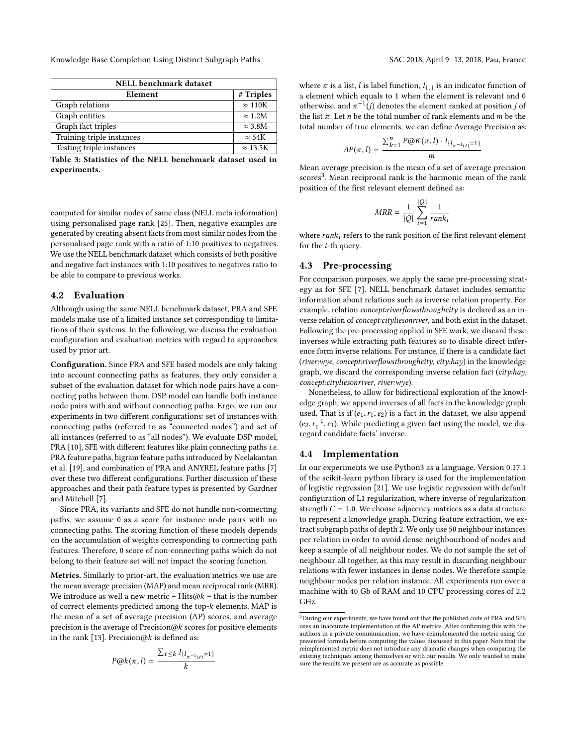Knowledge Base Completion Using Distinct Subgraph Paths SAC 2018, April 9-13, 2018, Pau, France

<span id="page-5-0"></span>

| <b>NELL</b> benchmark dataset |                  |  |  |  |  |
|-------------------------------|------------------|--|--|--|--|
| Element                       | # Triples        |  |  |  |  |
| Graph relations               | $\approx 110K$   |  |  |  |  |
| Graph entities                | $\approx 1.2M$   |  |  |  |  |
| Graph fact triples            | $\approx 3.8M$   |  |  |  |  |
| Training triple instances     | $\approx 54K$    |  |  |  |  |
| Testing triple instances      | $\approx 13.5$ K |  |  |  |  |

Table 3: Statistics of the NELL benchmark dataset used in experiments.

computed for similar nodes of same class (NELL meta information) using personalised page rank [\[25\]](#page-8-21). Then, negative examples are generated by creating absent facts from most similar nodes from the personalised page rank with a ratio of 1:10 positives to negatives. We use the NELL benchmark dataset which consists of both positive and negative fact instances with 1:10 positives to negatives ratio to be able to compare to previous works.

# 4.2 Evaluation

Although using the same NELL benchmark dataset, PRA and SFE models make use of a limited instance set corresponding to limitations of their systems. In the following, we discuss the evaluation configuration and evaluation metrics with regard to approaches used by prior art.

Configuration. Since PRA and SFE based models are only taking into account connecting paths as features, they only consider a subset of the evaluation dataset for which node pairs have a connecting paths between them. DSP model can handle both instance node pairs with and without connecting paths. Ergo, we run our experiments in two different configurations: set of instances with connecting paths (referred to as "connected nodes") and set of all instances (referred to as "all nodes"). We evaluate DSP model, PRA [\[10\]](#page-8-10), SFE with different features like plain connecting paths *i.e.* PRA feature paths, bigram feature paths introduced by Neelakantan et al. [\[19\]](#page-8-14), and combination of PRA and ANYREL feature paths [\[7\]](#page-8-15) over these two different configurations. Further discussion of these approaches and their path feature types is presented by Gardner and Mitchell [\[7\]](#page-8-15).

Since PRA, its variants and SFE do not handle non-connecting paths, we assume 0 as a score for instance node pairs with no connecting paths. The scoring function of these models depends on the accumulation of weights corresponding to connecting path features. Therefore, 0 score of non-connecting paths which do not belong to their feature set will not impact the scoring function.

Metrics. Similarly to prior-art, the evaluation metrics we use are the mean average precision (MAP) and mean reciprocal rank (MRR). We introduce as well a new metric – Hits $@k$  – that is the number of correct elements predicted among the top-k elements. MAP is the mean of a set of average precision (AP) scores, and average precision is the average of Precision $@k$  scores for positive elements in the rank [\[13\]](#page-8-22). Precision@k is defined as:

$$
P@k(\pi,l)=\frac{\sum_{t\leq k}I_{\{l_{\pi^{-1}(t)}=1\}}}{k}
$$

where  $\pi$  is a list, l is label function,  $I_{\{.\}}$  is an indicator function of a element which equals to 1 when the element is relevant and 0. a element which equals to 1 when the element is relevant and 0 otherwise, and  $\pi^{-1}$  (*j*) denotes the element ranked at position *j* of the list  $\pi$ . Let *n* be the total number of rank elements and *m* be the the list  $\pi$ . Let *n* be the total number of rank elements and *m* be the total number of true elements, we can define Average Precision as:

$$
AP(\pi, l) = \frac{\sum_{k=1}^{n} P\omega K(\pi, l) \cdot I_{\{l_{\pi^{-1}(t)} = 1\}}}{m}
$$

Mean average precision is the mean of a set of average precision  $\frac{1}{2}$  scores<sup>[3](#page-5-1)</sup>. Mean reciprocal rank is the harmonic mean of the rank position of the first relevant element defined as:

$$
MRR = \frac{1}{|Q|} \sum_{i=1}^{|Q|} \frac{1}{rank_i}
$$

where  $rank_i$  refers to the rank position of the first relevant element for the i-th query.

# 4.3 Pre-processing

For comparison purposes, we apply the same pre-processing strategy as for SFE [\[7\]](#page-8-15). NELL benchmark dataset includes semantic information about relations such as inverse relation property. For example, relation concept:riverflowsthroughcity is declared as an inverse relation of concept:cityliesonriver, and both exist in the dataset. Following the pre-processing applied in SFE work, we discard these inverses while extracting path features so to disable direct inference form inverse relations. For instance, if there is a candidate fact (river:wye, concept:riverflowsthroughcity, city:hay) in the knowledge graph, we discard the corresponding inverse relation fact (city:hay, concept:cityliesonriver, river:wye).

Nonetheless, to allow for bidirectional exploration of the knowledge graph, we append inverses of all facts in the knowledge graph used. That is if  $(e_1, r_1, e_2)$  is a fact in the dataset, we also append  $(e_2, r_1^{-1}, e_1)$ . While predicting a given fact using the model, we disregard candidate facts' inverse.

# 4.4 Implementation

In our experiments we use Python3 as a language. Version 0.17.1 of the scikit-learn python library is used for the implementation of logistic regression [\[21\]](#page-8-23). We use logistic regression with default configuration of L1 regularization, where inverse of regularization strength  $C = 1.0$ . We choose adjacency matrices as a data structure to represent a knowledge graph. During feature extraction, we extract subgraph paths of depth 2. We only use 50 neighbour instances per relation in order to avoid dense neighbourhood of nodes and keep a sample of all neighbour nodes. We do not sample the set of neighbour all together, as this may result in discarding neighbour relations with fewer instances in dense nodes. We therefore sample neighbour nodes per relation instance. All experiments run over a machine with 40 Gb of RAM and 10 CPU processing cores of 2.2 GHz.

<span id="page-5-1"></span> $^3\rm{During}$  our experiments, we have found out that the published code of PRA and SFE uses an inaccurate implementation of the AP metrics. After confirming this with the authors in a private communication, we have reimplemented the metric using the presented formula before computing the values discussed in this paper. Note that the reimplemented metric does not introduce any dramatic changes when comparing the existing techniques among themselves or with our results. We only wanted to make sure the results we present are as accurate as possible.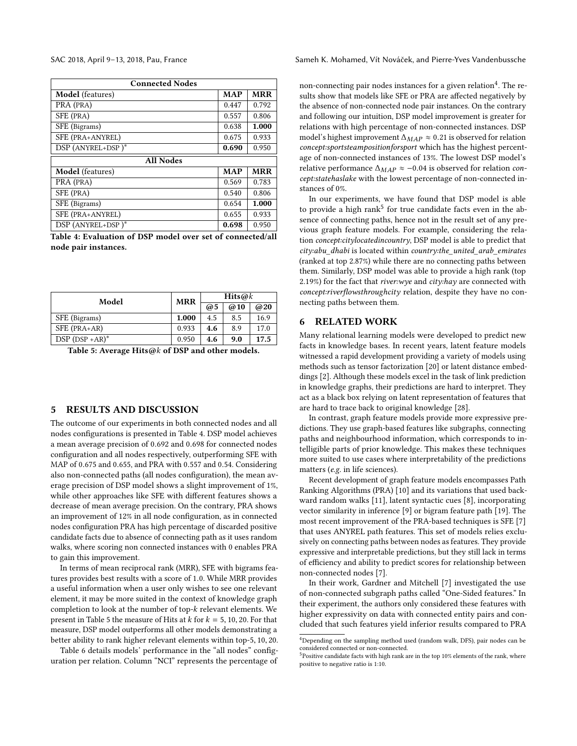<span id="page-6-2"></span>

| <b>Connected Nodes</b>  |            |            |  |  |  |  |  |
|-------------------------|------------|------------|--|--|--|--|--|
| Model (features)        | <b>MAP</b> | <b>MRR</b> |  |  |  |  |  |
| PRA (PRA)               | 0.447      | 0.792      |  |  |  |  |  |
| SFE (PRA)               | 0.557      | 0.806      |  |  |  |  |  |
| SFE (Bigrams)           | 0.638      | 1.000      |  |  |  |  |  |
| SFE (PRA+ANYREL)        | 0.675      | 0.933      |  |  |  |  |  |
| DSP (ANYREL+DSP)*       | 0.690      | 0.950      |  |  |  |  |  |
| <b>All Nodes</b>        |            |            |  |  |  |  |  |
| <b>Model</b> (features) | <b>MAP</b> | <b>MRR</b> |  |  |  |  |  |
| PRA (PRA)               | 0.569      | 0.783      |  |  |  |  |  |
| SFE (PRA)               | 0.540      | 0.806      |  |  |  |  |  |
| SFE (Bigrams)           | 0.654      | 1.000      |  |  |  |  |  |
| SFE (PRA+ANYREL)        |            | 0.933      |  |  |  |  |  |
| DSP (ANYREL+DSP)*       | 0.698      | 0.950      |  |  |  |  |  |

Table 4: Evaluation of DSP model over set of connected/all node pair instances.

<span id="page-6-3"></span>

| Model              | <b>MRR</b> | $Hits@k$ |     |      |  |
|--------------------|------------|----------|-----|------|--|
|                    |            | @5       | @10 | @20  |  |
| SFE (Bigrams)      | 1.000      | 4.5      | 8.5 | 16.9 |  |
| SFE (PRA+AR)       | 0.933      | 4.6      | 8.9 | 17.0 |  |
| $DSP (DSP + AR)^*$ | 0.950      | 4.6      | 9.0 | 17.5 |  |

Table 5: Average Hits@k of DSP and other models.

# <span id="page-6-0"></span>5 RESULTS AND DISCUSSION

The outcome of our experiments in both connected nodes and all nodes configurations is presented in Table [4.](#page-6-2) DSP model achieves a mean average precision of <sup>0</sup>.<sup>692</sup> and <sup>0</sup>.<sup>698</sup> for connected nodes configuration and all nodes respectively, outperforming SFE with MAP of <sup>0</sup>.<sup>675</sup> and <sup>0</sup>.655, and PRA with <sup>0</sup>.<sup>557</sup> and <sup>0</sup>.54. Considering also non-connected paths (all nodes configuration), the mean average precision of DSP model shows a slight improvement of 1%, while other approaches like SFE with different features shows a decrease of mean average precision. On the contrary, PRA shows an improvement of 12% in all node configuration, as in connected nodes configuration PRA has high percentage of discarded positive candidate facts due to absence of connecting path as it uses random walks, where scoring non connected instances with 0 enables PRA to gain this improvement.

In terms of mean reciprocal rank (MRR), SFE with bigrams features provides best results with a score of <sup>1</sup>.0. While MRR provides a useful information when a user only wishes to see one relevant element, it may be more suited in the context of knowledge graph completion to look at the number of top-k relevant elements. We present in Table [5](#page-6-3) the measure of Hits at  $k$  for  $k = 5, 10, 20$ . For that measure, DSP model outperforms all other models demonstrating a better ability to rank higher relevant elements within top-5, <sup>10</sup>, 20.

Table [6](#page-7-2) details models' performance in the "all nodes" configuration per relation. Column "NCI" represents the percentage of

SAC 2018, April 9-13, 2018, Pau, France Sameh K. Mohamed, Vít Nováček, and Pierre-Yves Vandenbussche

non-connecting pair nodes instances for a given relation<sup>[4](#page-6-4)</sup>. The results show that models like SFE or PRA are affected negatively by the absence of non-connected node pair instances. On the contrary and following our intuition, DSP model improvement is greater for relations with high percentage of non-connected instances. DSP model's highest improvement  $\Delta_{MAP} \approx 0.21$  is observed for relation concept:sportsteampositionforsport which has the highest percentage of non-connected instances of 13%. The lowest DSP model's relative performance  $\Delta_{MAP} \approx -0.04$  is observed for relation *con*cept:statehaslake with the lowest percentage of non-connected instances of 0%.

In our experiments, we have found that DSP model is able to provide a high rank<sup>[5](#page-6-5)</sup> for true candidate facts even in the absence of connecting paths, hence not in the result set of any previous graph feature models. For example, considering the relation concept:citylocatedincountry, DSP model is able to predict that city:abu\_dhabi is located within country:the\_united\_arab\_emirates (ranked at top 2.87%) while there are no connecting paths between them. Similarly, DSP model was able to provide a high rank (top 2.19%) for the fact that river: wye and city: hay are connected with concept:riverflowsthroughcity relation, despite they have no connecting paths between them.

# <span id="page-6-1"></span>6 RELATED WORK

Many relational learning models were developed to predict new facts in knowledge bases. In recent years, latent feature models witnessed a rapid development providing a variety of models using methods such as tensor factorization [\[20\]](#page-8-24) or latent distance embeddings [\[2\]](#page-7-3). Although these models excel in the task of link prediction in knowledge graphs, their predictions are hard to interpret. They act as a black box relying on latent representation of features that are hard to trace back to original knowledge [\[28\]](#page-8-25).

In contrast, graph feature models provide more expressive predictions. They use graph-based features like subgraphs, connecting paths and neighbourhood information, which corresponds to intelligible parts of prior knowledge. This makes these techniques more suited to use cases where interpretability of the predictions matters (e.g. in life sciences).

Recent development of graph feature models encompasses Path Ranking Algorithms (PRA) [\[10\]](#page-8-10) and its variations that used backward random walks [\[11\]](#page-8-11), latent syntactic cues [\[8\]](#page-8-12), incorporating vector similarity in inference [\[9\]](#page-8-13) or bigram feature path [\[19\]](#page-8-14). The most recent improvement of the PRA-based techniques is SFE [\[7\]](#page-8-15) that uses ANYREL path features. This set of models relies exclusively on connecting paths between nodes as features. They provide expressive and interpretable predictions, but they still lack in terms of efficiency and ability to predict scores for relationship between non-connected nodes [\[7\]](#page-8-15).

In their work, Gardner and Mitchell [\[7\]](#page-8-15) investigated the use of non-connected subgraph paths called "One-Sided features." In their experiment, the authors only considered these features with higher expressivity on data with connected entity pairs and concluded that such features yield inferior results compared to PRA

<span id="page-6-4"></span> $^4\rm{Depending}$  on the sampling method used (random walk, DFS), pair nodes can be considered connected or non-connected.

<span id="page-6-5"></span> $^{5}$ Positive candidate facts with high rank are in the top 10% elements of the rank, where positive to negative ratio is 1:10.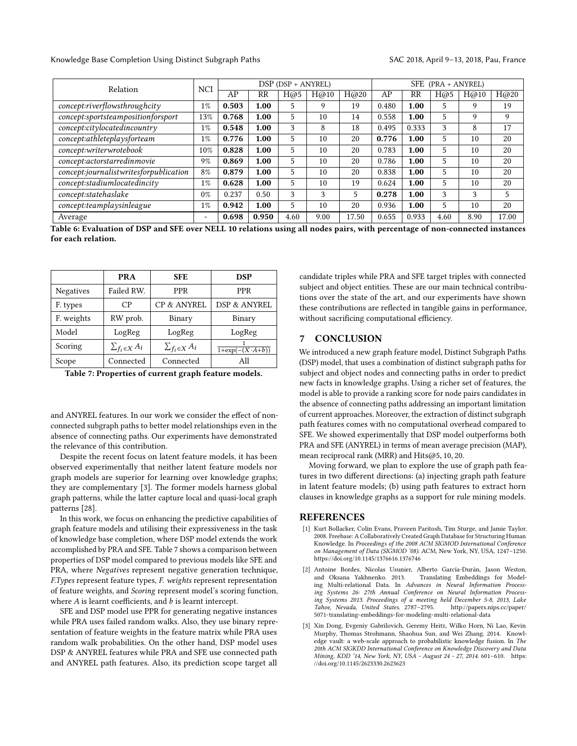#### Knowledge Base Completion Using Distinct Subgraph Paths SAC 2018, April 9-13, 2018, Pau, France

<span id="page-7-2"></span>

| Relation                               |                          | DSP (DSP + ANYREL) |       |             |      | <b>SFE</b><br>(PRA + ANYREL) |       |       |             |      |       |
|----------------------------------------|--------------------------|--------------------|-------|-------------|------|------------------------------|-------|-------|-------------|------|-------|
|                                        | <b>NCI</b>               | AP                 | RR    | $H\omega$ 5 | H@10 | H@20                         | AP    | RR    | $H\omega$ 5 | H@10 | H@20  |
| concept:riverflowsthroughcity          | $1\%$                    | 0.503              | 1.00  | 5.          | 9    | 19                           | 0.480 | 1.00  | 5           | 9    | 19    |
| concept:sportsteampositionforsport     | 13%                      | 0.768              | 1.00  | 5           | 10   | 14                           | 0.558 | 1.00  | 5           | 9    | 9     |
| concept:citylocatedincountry           | $1\%$                    | 0.548              | 1.00  | 3           | 8    | 18                           | 0.495 | 0.333 | 3           | 8    | 17    |
| concept:athleteplaysforteam            | $1\%$                    | 0.776              | 1.00  | 5           | 10   | 20                           | 0.776 | 1.00  | 5           | 10   | 20    |
| concept:writerwrotebook                | 10%                      | 0.828              | 1.00  | 5           | 10   | 20                           | 0.783 | 1.00  | 5           | 10   | 20    |
| concept:actorstarredinmovie            | 9%                       | 0.869              | 1.00  | 5           | 10   | 20                           | 0.786 | 1.00  | 5           | 10   | 20    |
| concept:journalistwritesforpublication | 8%                       | 0.879              | 1.00  | 5           | 10   | 20                           | 0.838 | 1.00  | 5           | 10   | 20    |
| concept:stadiumlocatedincity           | $1\%$                    | 0.628              | 1.00  | 5           | 10   | 19                           | 0.624 | 1.00  | 5           | 10   | 20    |
| concept:statehaslake                   | 0%                       | 0.237              | 0.50  | 3           | 3    | 5                            | 0.278 | 1.00  | 3           | 3    | 5     |
| concept:teamplaysinleague              | $1\%$                    | 0.942              | 1.00  | 5           | 10   | 20                           | 0.936 | 1.00  | 5           | 10   | 20    |
| Average                                | $\overline{\phantom{0}}$ | 0.698              | 0.950 | 4.60        | 9.00 | 17.50                        | 0.655 | 0.933 | 4.60        | 8.90 | 17.00 |

Table 6: Evaluation of DSP and SFE over NELL 10 relations using all nodes pairs, with percentage of non-connected instances for each relation.

<span id="page-7-5"></span>

|                  | <b>PRA</b>             | <b>SFE</b>             | <b>DSP</b>              |
|------------------|------------------------|------------------------|-------------------------|
| <b>Negatives</b> | Failed RW.             | <b>PPR</b>             | <b>PPR</b>              |
| F. types         | СP                     | CP & ANYREL            | DSP & ANYREL            |
| F. weights       | RW prob.               | Binary                 | Binary                  |
| Model            | LogReg                 | LogReg                 | LogReg                  |
| Scoring          | $\sum_{f_i \in X} A_i$ | $\sum_{f_i \in X} A_i$ | $1+\exp(-(X\cdot A+b))$ |
| Scope            | Connected              | Connected              | All                     |

Table 7: Properties of current graph feature models.

and ANYREL features. In our work we consider the effect of nonconnected subgraph paths to better model relationships even in the absence of connecting paths. Our experiments have demonstrated the relevance of this contribution.

Despite the recent focus on latent feature models, it has been observed experimentally that neither latent feature models nor graph models are superior for learning over knowledge graphs; they are complementary [\[3\]](#page-7-4). The former models harness global graph patterns, while the latter capture local and quasi-local graph patterns [\[28\]](#page-8-25).

In this work, we focus on enhancing the predictive capabilities of graph feature models and utilising their expressiveness in the task of knowledge base completion, where DSP model extends the work accomplished by PRA and SFE. Table [7](#page-7-5) shows a comparison between properties of DSP model compared to previous models like SFE and PRA, where Negatives represent negative generation technique, F.Types represent feature types, F. weights represent representation of feature weights, and Scoring represent model's scoring function, where  $A$  is learnt coefficients, and  $b$  is learnt intercept.

SFE and DSP model use PPR for generating negative instances while PRA uses failed random walks. Also, they use binary representation of feature weights in the feature matrix while PRA uses random walk probabilities. On the other hand, DSP model uses DSP & ANYREL features while PRA and SFE use connected path and ANYREL path features. Also, its prediction scope target all

candidate triples while PRA and SFE target triples with connected subject and object entities. These are our main technical contributions over the state of the art, and our experiments have shown these contributions are reflected in tangible gains in performance, without sacrificing computational efficiency.

#### <span id="page-7-1"></span>7 CONCLUSION

We introduced a new graph feature model, Distinct Subgraph Paths (DSP) model, that uses a combination of distinct subgraph paths for subject and object nodes and connecting paths in order to predict new facts in knowledge graphs. Using a richer set of features, the model is able to provide a ranking score for node pairs candidates in the absence of connecting paths addressing an important limitation of current approaches. Moreover, the extraction of distinct subgraph path features comes with no computational overhead compared to SFE. We showed experimentally that DSP model outperforms both PRA and SFE (ANYREL) in terms of mean average precision (MAP), mean reciprocal rank (MRR) and Hits@5, <sup>10</sup>, 20.

Moving forward, we plan to explore the use of graph path features in two different directions: (a) injecting graph path feature in latent feature models; (b) using path features to extract horn clauses in knowledge graphs as a support for rule mining models.

### REFERENCES

- <span id="page-7-0"></span>[1] Kurt Bollacker, Colin Evans, Praveen Paritosh, Tim Sturge, and Jamie Taylor. 2008. Freebase: A Collaboratively Created Graph Database for Structuring Human Knowledge. In Proceedings of the 2008 ACM SIGMOD International Conference on Management of Data (SIGMOD '08). ACM, New York, NY, USA, 1247–1250. <https://doi.org/10.1145/1376616.1376746>
- <span id="page-7-3"></span>[2] Antoine Bordes, Nicolas Usunier, Alberto García-Durán, Jason Weston, and Oksana Yakhnenko. 2013. Translating Embeddings for Modeling Multi-relational Data. In Advances in Neural Information Processing Systems 26: 27th Annual Conference on Neural Information Processing Systems 2013. Proceedings of a meeting held December 5-8, 2013, Lake Tahoe, Nevada, United States. 2787–2795. [http://papers.nips.cc/paper/](http://papers.nips.cc/paper/5071-translating-embeddings-for-modeling-multi-relational-data) [5071-translating-embeddings-for-modeling-multi-relational-data](http://papers.nips.cc/paper/5071-translating-embeddings-for-modeling-multi-relational-data)
- <span id="page-7-4"></span>[3] Xin Dong, Evgeniy Gabrilovich, Geremy Heitz, Wilko Horn, Ni Lao, Kevin Murphy, Thomas Strohmann, Shaohua Sun, and Wei Zhang. 2014. Knowledge vault: a web-scale approach to probabilistic knowledge fusion. In The 20th ACM SIGKDD International Conference on Knowledge Discovery and Data Mining, KDD '14, New York, NY, USA - August 24 - 27, 2014. 601–610. [https:](https://doi.org/10.1145/2623330.2623623) [//doi.org/10.1145/2623330.2623623](https://doi.org/10.1145/2623330.2623623)